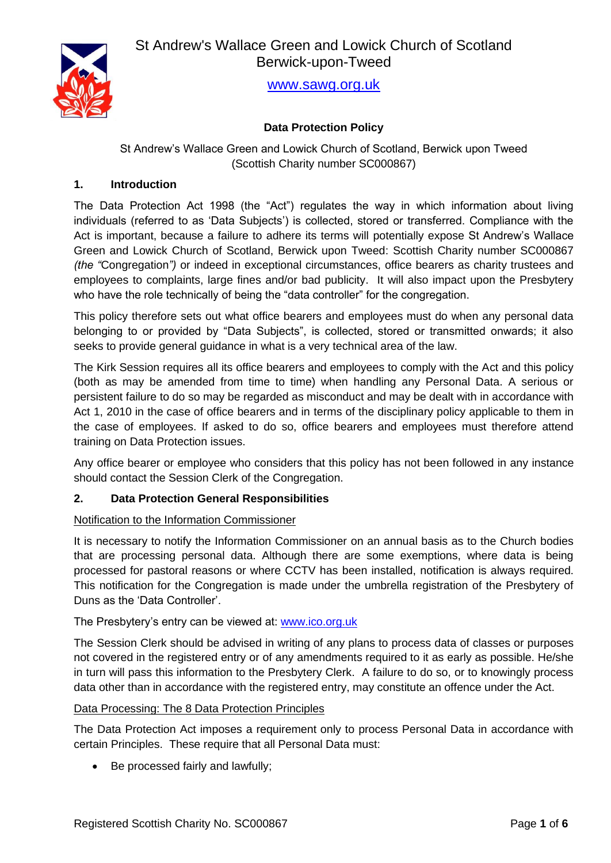

[www.sawg.org.uk](http://www.sawg.org.uk/)

# **Data Protection Policy**

St Andrew's Wallace Green and Lowick Church of Scotland, Berwick upon Tweed (Scottish Charity number SC000867)

## **1. Introduction**

The Data Protection Act 1998 (the "Act") regulates the way in which information about living individuals (referred to as 'Data Subjects') is collected, stored or transferred. Compliance with the Act is important, because a failure to adhere its terms will potentially expose St Andrew's Wallace Green and Lowick Church of Scotland, Berwick upon Tweed: Scottish Charity number SC000867 *(the "*Congregation*")* or indeed in exceptional circumstances, office bearers as charity trustees and employees to complaints, large fines and/or bad publicity. It will also impact upon the Presbytery who have the role technically of being the "data controller" for the congregation.

This policy therefore sets out what office bearers and employees must do when any personal data belonging to or provided by "Data Subjects", is collected, stored or transmitted onwards; it also seeks to provide general guidance in what is a very technical area of the law.

The Kirk Session requires all its office bearers and employees to comply with the Act and this policy (both as may be amended from time to time) when handling any Personal Data. A serious or persistent failure to do so may be regarded as misconduct and may be dealt with in accordance with Act 1, 2010 in the case of office bearers and in terms of the disciplinary policy applicable to them in the case of employees. If asked to do so, office bearers and employees must therefore attend training on Data Protection issues.

Any office bearer or employee who considers that this policy has not been followed in any instance should contact the Session Clerk of the Congregation.

#### **2. Data Protection General Responsibilities**

#### Notification to the Information Commissioner

It is necessary to notify the Information Commissioner on an annual basis as to the Church bodies that are processing personal data. Although there are some exemptions, where data is being processed for pastoral reasons or where CCTV has been installed, notification is always required. This notification for the Congregation is made under the umbrella registration of the Presbytery of Duns as the 'Data Controller'.

#### The Presbytery's entry can be viewed at: [www.ico.org.uk](http://www.ico.org.uk/)

The Session Clerk should be advised in writing of any plans to process data of classes or purposes not covered in the registered entry or of any amendments required to it as early as possible. He/she in turn will pass this information to the Presbytery Clerk. A failure to do so, or to knowingly process data other than in accordance with the registered entry, may constitute an offence under the Act.

#### Data Processing: The 8 Data Protection Principles

The Data Protection Act imposes a requirement only to process Personal Data in accordance with certain Principles. These require that all Personal Data must:

• Be processed fairly and lawfully;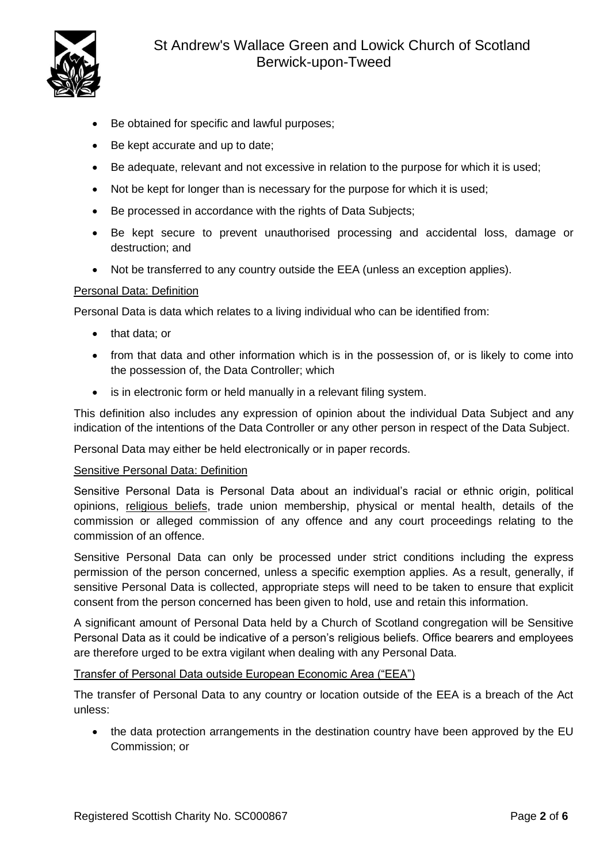

- Be obtained for specific and lawful purposes;
- Be kept accurate and up to date;
- Be adequate, relevant and not excessive in relation to the purpose for which it is used;
- Not be kept for longer than is necessary for the purpose for which it is used:
- Be processed in accordance with the rights of Data Subjects;
- Be kept secure to prevent unauthorised processing and accidental loss, damage or destruction; and
- Not be transferred to any country outside the EEA (unless an exception applies).

#### Personal Data: Definition

Personal Data is data which relates to a living individual who can be identified from:

- that data; or
- from that data and other information which is in the possession of, or is likely to come into the possession of, the Data Controller; which
- is in electronic form or held manually in a relevant filing system.

This definition also includes any expression of opinion about the individual Data Subject and any indication of the intentions of the Data Controller or any other person in respect of the Data Subject.

Personal Data may either be held electronically or in paper records.

#### Sensitive Personal Data: Definition

Sensitive Personal Data is Personal Data about an individual's racial or ethnic origin, political opinions, religious beliefs, trade union membership, physical or mental health, details of the commission or alleged commission of any offence and any court proceedings relating to the commission of an offence.

Sensitive Personal Data can only be processed under strict conditions including the express permission of the person concerned, unless a specific exemption applies. As a result, generally, if sensitive Personal Data is collected, appropriate steps will need to be taken to ensure that explicit consent from the person concerned has been given to hold, use and retain this information.

A significant amount of Personal Data held by a Church of Scotland congregation will be Sensitive Personal Data as it could be indicative of a person's religious beliefs. Office bearers and employees are therefore urged to be extra vigilant when dealing with any Personal Data.

#### Transfer of Personal Data outside European Economic Area ("EEA")

The transfer of Personal Data to any country or location outside of the EEA is a breach of the Act unless:

• the data protection arrangements in the destination country have been approved by the EU Commission; or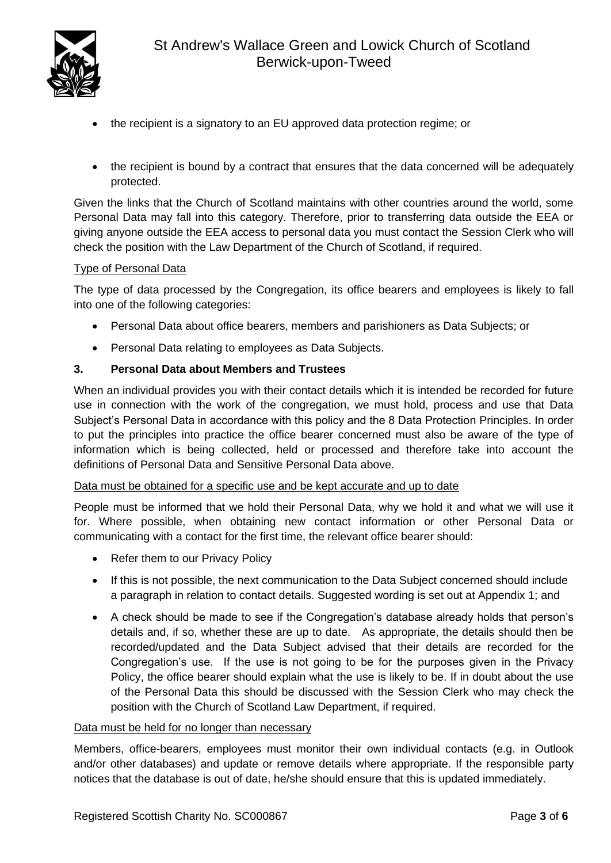

- the recipient is a signatory to an EU approved data protection regime; or
- the recipient is bound by a contract that ensures that the data concerned will be adequately protected.

Given the links that the Church of Scotland maintains with other countries around the world, some Personal Data may fall into this category. Therefore, prior to transferring data outside the EEA or giving anyone outside the EEA access to personal data you must contact the Session Clerk who will check the position with the Law Department of the Church of Scotland, if required.

# Type of Personal Data

The type of data processed by the Congregation, its office bearers and employees is likely to fall into one of the following categories:

- Personal Data about office bearers, members and parishioners as Data Subjects; or
- Personal Data relating to employees as Data Subjects.

# **3. Personal Data about Members and Trustees**

When an individual provides you with their contact details which it is intended be recorded for future use in connection with the work of the congregation, we must hold, process and use that Data Subject's Personal Data in accordance with this policy and the 8 Data Protection Principles. In order to put the principles into practice the office bearer concerned must also be aware of the type of information which is being collected, held or processed and therefore take into account the definitions of Personal Data and Sensitive Personal Data above.

#### Data must be obtained for a specific use and be kept accurate and up to date

People must be informed that we hold their Personal Data, why we hold it and what we will use it for. Where possible, when obtaining new contact information or other Personal Data or communicating with a contact for the first time, the relevant office bearer should:

- Refer them to our Privacy Policy
- If this is not possible, the next communication to the Data Subject concerned should include a paragraph in relation to contact details. Suggested wording is set out at Appendix 1; and
- A check should be made to see if the Congregation's database already holds that person's details and, if so, whether these are up to date. As appropriate, the details should then be recorded/updated and the Data Subject advised that their details are recorded for the Congregation's use. If the use is not going to be for the purposes given in the Privacy Policy, the office bearer should explain what the use is likely to be. If in doubt about the use of the Personal Data this should be discussed with the Session Clerk who may check the position with the Church of Scotland Law Department, if required.

#### Data must be held for no longer than necessary

Members, office-bearers, employees must monitor their own individual contacts (e.g. in Outlook and/or other databases) and update or remove details where appropriate. If the responsible party notices that the database is out of date, he/she should ensure that this is updated immediately.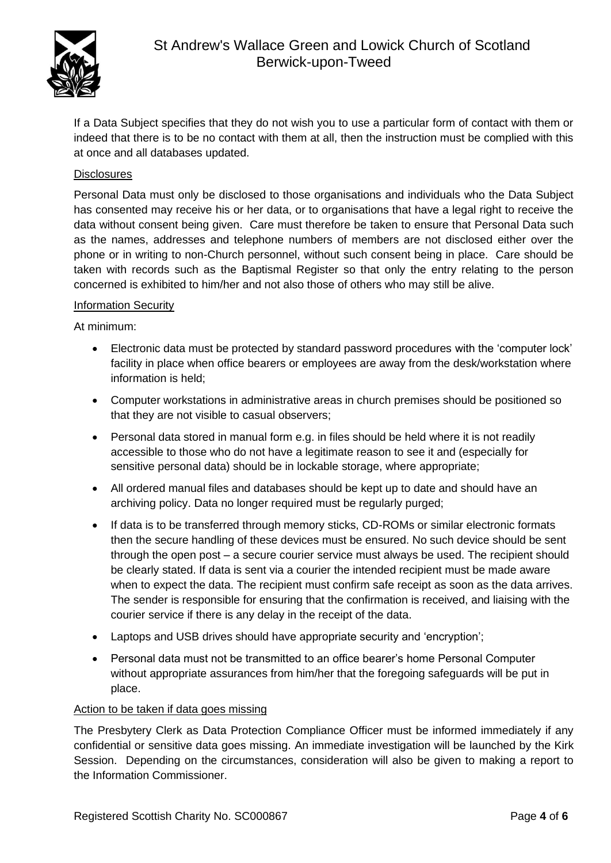

If a Data Subject specifies that they do not wish you to use a particular form of contact with them or indeed that there is to be no contact with them at all, then the instruction must be complied with this at once and all databases updated.

# **Disclosures**

Personal Data must only be disclosed to those organisations and individuals who the Data Subject has consented may receive his or her data, or to organisations that have a legal right to receive the data without consent being given. Care must therefore be taken to ensure that Personal Data such as the names, addresses and telephone numbers of members are not disclosed either over the phone or in writing to non-Church personnel, without such consent being in place. Care should be taken with records such as the Baptismal Register so that only the entry relating to the person concerned is exhibited to him/her and not also those of others who may still be alive.

#### Information Security

At minimum:

- Electronic data must be protected by standard password procedures with the 'computer lock' facility in place when office bearers or employees are away from the desk/workstation where information is held;
- Computer workstations in administrative areas in church premises should be positioned so that they are not visible to casual observers;
- Personal data stored in manual form e.g. in files should be held where it is not readily accessible to those who do not have a legitimate reason to see it and (especially for sensitive personal data) should be in lockable storage, where appropriate;
- All ordered manual files and databases should be kept up to date and should have an archiving policy. Data no longer required must be regularly purged;
- If data is to be transferred through memory sticks, CD-ROMs or similar electronic formats then the secure handling of these devices must be ensured. No such device should be sent through the open post – a secure courier service must always be used. The recipient should be clearly stated. If data is sent via a courier the intended recipient must be made aware when to expect the data. The recipient must confirm safe receipt as soon as the data arrives. The sender is responsible for ensuring that the confirmation is received, and liaising with the courier service if there is any delay in the receipt of the data.
- Laptops and USB drives should have appropriate security and 'encryption';
- Personal data must not be transmitted to an office bearer's home Personal Computer without appropriate assurances from him/her that the foregoing safeguards will be put in place.

#### Action to be taken if data goes missing

The Presbytery Clerk as Data Protection Compliance Officer must be informed immediately if any confidential or sensitive data goes missing. An immediate investigation will be launched by the Kirk Session. Depending on the circumstances, consideration will also be given to making a report to the Information Commissioner.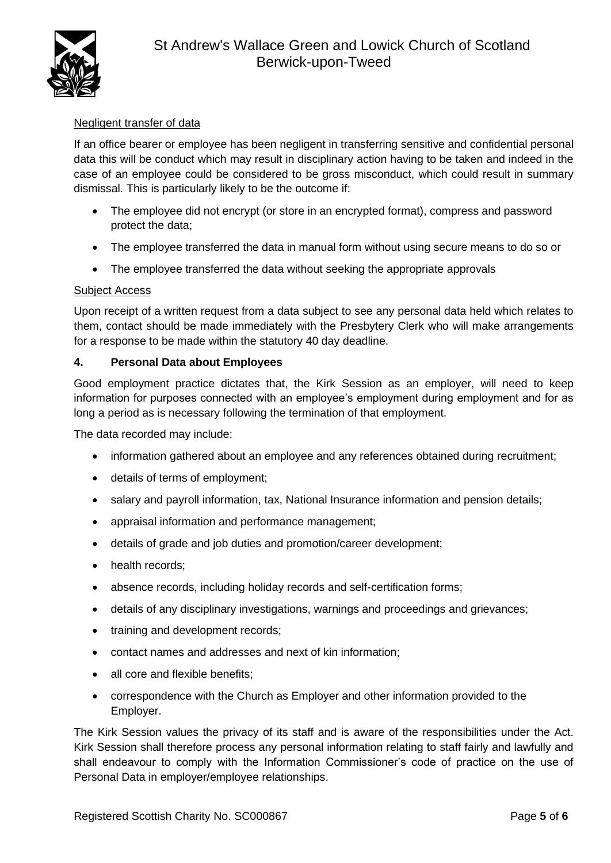

# Negligent transfer of data

If an office bearer or employee has been negligent in transferring sensitive and confidential personal data this will be conduct which may result in disciplinary action having to be taken and indeed in the case of an employee could be considered to be gross misconduct, which could result in summary dismissal. This is particularly likely to be the outcome if:

- The employee did not encrypt (or store in an encrypted format), compress and password protect the data;
- The employee transferred the data in manual form without using secure means to do so or
- The employee transferred the data without seeking the appropriate approvals

## Subject Access

Upon receipt of a written request from a data subject to see any personal data held which relates to them, contact should be made immediately with the Presbytery Clerk who will make arrangements for a response to be made within the statutory 40 day deadline.

## **4. Personal Data about Employees**

Good employment practice dictates that, the Kirk Session as an employer, will need to keep information for purposes connected with an employee's employment during employment and for as long a period as is necessary following the termination of that employment.

The data recorded may include:

- information gathered about an employee and any references obtained during recruitment;
- details of terms of employment;
- salary and payroll information, tax, National Insurance information and pension details;
- appraisal information and performance management;
- details of grade and job duties and promotion/career development;
- health records;
- absence records, including holiday records and self-certification forms;
- details of any disciplinary investigations, warnings and proceedings and grievances;
- training and development records;
- contact names and addresses and next of kin information;
- all core and flexible benefits;
- correspondence with the Church as Employer and other information provided to the Employer.

The Kirk Session values the privacy of its staff and is aware of the responsibilities under the Act. Kirk Session shall therefore process any personal information relating to staff fairly and lawfully and shall endeavour to comply with the Information Commissioner's code of practice on the use of Personal Data in employer/employee relationships.